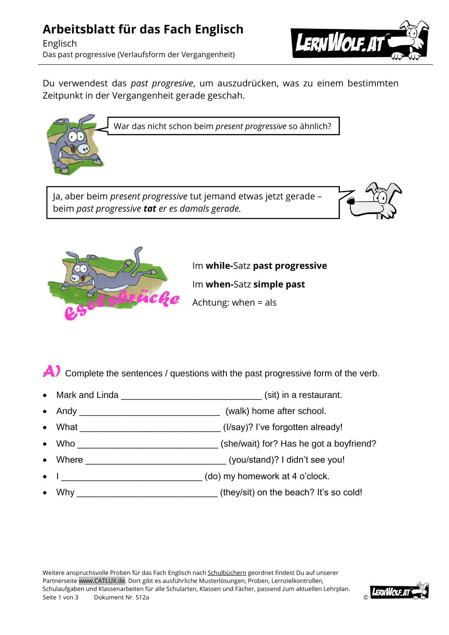## **Arbeitsblatt für das Fach Englisch**

Englisch Das past progressive (Verlaufsform der Vergangenheit)



Du verwendest das *past progresive*, um auszudrücken, was zu einem bestimmten Zeitpunkt in der Vergangenheit gerade geschah.



beim *past progressive tat er es damals gerade.*





Im **while-**Satz **past progressive** Im **when-**Satz **simple past**

Achtung: when = als

A) Complete the sentences / questions with the past progressive form of the verb.

- Mark and Linda **Example 20** (sit) in a restaurant.
- Andy \_\_\_\_\_\_\_\_\_\_\_\_\_\_\_\_\_\_\_\_\_\_\_\_\_\_\_\_ (walk) home after school.
- What \_\_\_\_\_\_\_\_\_\_\_\_\_\_\_\_\_\_\_\_\_\_\_\_\_\_\_\_ (I/say)? I've forgotten already!
- Who \_\_\_\_\_\_\_\_\_\_\_\_\_\_\_\_\_\_\_\_\_\_\_\_\_\_\_\_ (she/wait) for? Has he got a boyfriend?
- Where \_\_\_\_\_\_\_\_\_\_\_\_\_\_\_\_\_\_\_\_\_\_\_\_\_\_\_\_ (you/stand)? I didn't see you!
- I \_\_\_\_\_\_\_\_\_\_\_\_\_\_\_\_\_\_\_\_\_\_\_\_\_\_\_\_ (do) my homework at 4 o'clock.
- Why **While the act of the view of the view of the view of the beach?** It's so cold!

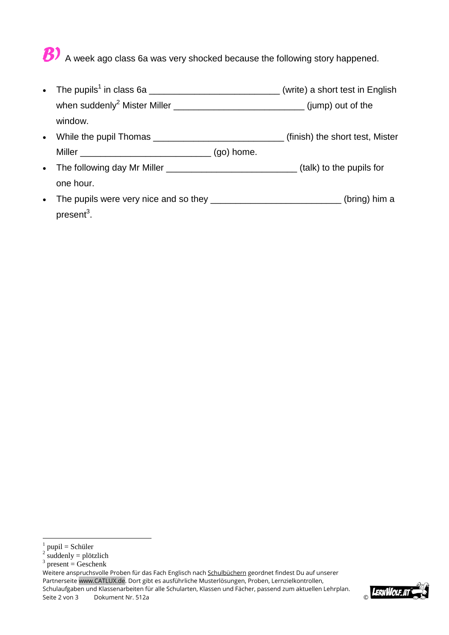## B) A week ago class 6a was very shocked because the following story happened.

- The pupils<sup>1</sup> in class 6a \_\_\_\_\_\_\_\_\_\_\_\_\_\_\_\_\_\_\_\_\_\_\_\_\_\_\_\_\_(write) a short test in English when suddenly<sup>2</sup> Mister Miller \_\_\_\_\_\_\_\_\_\_\_\_\_\_\_\_\_\_\_\_\_\_\_\_\_\_\_\_\_\_\_\_\_(jump) out of the window. • While the pupil Thomas **and South Control** (finish) the short test, Mister Miller \_\_\_\_\_\_\_\_\_\_\_\_\_\_\_\_\_\_\_\_\_\_\_\_\_\_ (go) home.
- The following day Mr Miller \_\_\_\_\_\_\_\_\_\_\_\_\_\_\_\_\_\_\_\_\_\_\_\_\_\_\_\_(talk) to the pupils for one hour.
- The pupils were very nice and so they \_\_\_\_\_\_\_\_\_\_\_\_\_\_\_\_\_\_\_\_\_\_\_\_\_\_\_(bring) him a present<sup>3</sup>.

<u>.</u>

Weitere anspruchsvolle Proben für das Fach Englisch nach Schulbüchern geordnet findest Du auf unserer Partnerseite www.CATLUX.de. Dort gibt es ausführliche Musterlösungen, Proben, Lernzielkontrollen, Schulaufgaben und Klassenarbeiten für alle Schularten, Klassen und Fächer, passend zum aktuellen Lehrplan. Schulaufgaben und Klassenarbeiten für alle Schularten, Klassen und Fächer, passend zum aktuellen Lehrplan.<br>Seite 2 von 3 Dokument Nr. 512a Deschularten, Klassen und Fächer, passend zum aktuellen Lehrplan.



<sup>1</sup> pupil = Schüler

 $2 \text{ suddenly} = \text{plötzlich}$ 

 $3$  present = Geschenk